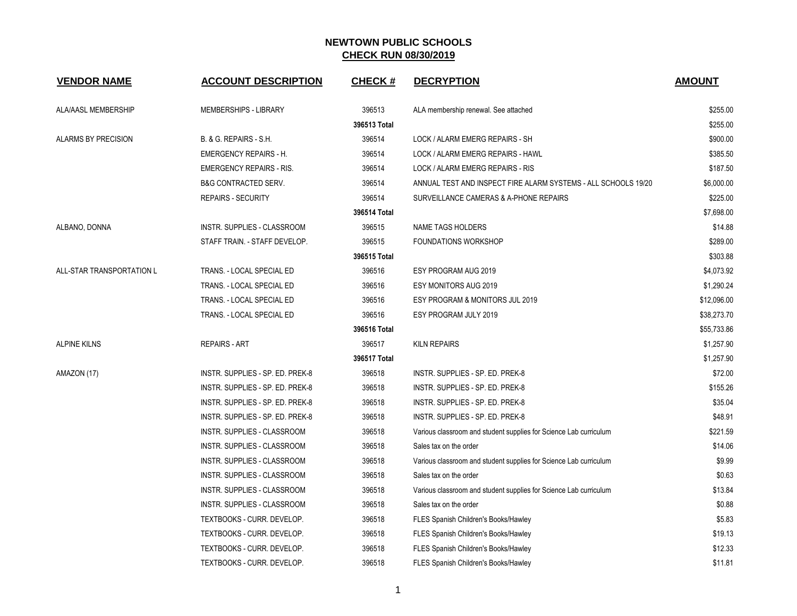| <b>VENDOR NAME</b>        | <b>ACCOUNT DESCRIPTION</b>         | <b>CHECK#</b> | <b>DECRYPTION</b>                                                 | <b>AMOUNT</b> |
|---------------------------|------------------------------------|---------------|-------------------------------------------------------------------|---------------|
| ALA/AASL MEMBERSHIP       | MEMBERSHIPS - LIBRARY              | 396513        | ALA membership renewal. See attached                              | \$255.00      |
|                           |                                    | 396513 Total  |                                                                   | \$255.00      |
| ALARMS BY PRECISION       | B. & G. REPAIRS - S.H.             | 396514        | LOCK / ALARM EMERG REPAIRS - SH                                   | \$900.00      |
|                           | <b>EMERGENCY REPAIRS - H.</b>      | 396514        | LOCK / ALARM EMERG REPAIRS - HAWL                                 | \$385.50      |
|                           | <b>EMERGENCY REPAIRS - RIS.</b>    | 396514        | LOCK / ALARM EMERG REPAIRS - RIS                                  | \$187.50      |
|                           | <b>B&amp;G CONTRACTED SERV.</b>    | 396514        | ANNUAL TEST AND INSPECT FIRE ALARM SYSTEMS - ALL SCHOOLS 19/20    | \$6,000.00    |
|                           | <b>REPAIRS - SECURITY</b>          | 396514        | SURVEILLANCE CAMERAS & A-PHONE REPAIRS                            | \$225.00      |
|                           |                                    | 396514 Total  |                                                                   | \$7,698.00    |
| ALBANO, DONNA             | INSTR. SUPPLIES - CLASSROOM        | 396515        | <b>NAME TAGS HOLDERS</b>                                          | \$14.88       |
|                           | STAFF TRAIN. - STAFF DEVELOP.      | 396515        | <b>FOUNDATIONS WORKSHOP</b>                                       | \$289.00      |
|                           |                                    | 396515 Total  |                                                                   | \$303.88      |
| ALL-STAR TRANSPORTATION L | TRANS. - LOCAL SPECIAL ED          | 396516        | ESY PROGRAM AUG 2019                                              | \$4,073.92    |
|                           | TRANS. - LOCAL SPECIAL ED          | 396516        | <b>ESY MONITORS AUG 2019</b>                                      | \$1,290.24    |
|                           | TRANS. - LOCAL SPECIAL ED          | 396516        | ESY PROGRAM & MONITORS JUL 2019                                   | \$12,096.00   |
|                           | TRANS. - LOCAL SPECIAL ED          | 396516        | ESY PROGRAM JULY 2019                                             | \$38,273.70   |
|                           |                                    | 396516 Total  |                                                                   | \$55,733.86   |
| <b>ALPINE KILNS</b>       | <b>REPAIRS - ART</b>               | 396517        | <b>KILN REPAIRS</b>                                               | \$1,257.90    |
|                           |                                    | 396517 Total  |                                                                   | \$1,257.90    |
| AMAZON (17)               | INSTR. SUPPLIES - SP. ED. PREK-8   | 396518        | INSTR. SUPPLIES - SP. ED. PREK-8                                  | \$72.00       |
|                           | INSTR. SUPPLIES - SP. ED. PREK-8   | 396518        | INSTR. SUPPLIES - SP. ED. PREK-8                                  | \$155.26      |
|                           | INSTR. SUPPLIES - SP. ED. PREK-8   | 396518        | INSTR. SUPPLIES - SP. ED. PREK-8                                  | \$35.04       |
|                           | INSTR. SUPPLIES - SP. ED. PREK-8   | 396518        | INSTR. SUPPLIES - SP. ED. PREK-8                                  | \$48.91       |
|                           | INSTR. SUPPLIES - CLASSROOM        | 396518        | Various classroom and student supplies for Science Lab curriculum | \$221.59      |
|                           | INSTR. SUPPLIES - CLASSROOM        | 396518        | Sales tax on the order                                            | \$14.06       |
|                           | <b>INSTR. SUPPLIES - CLASSROOM</b> | 396518        | Various classroom and student supplies for Science Lab curriculum | \$9.99        |
|                           | INSTR. SUPPLIES - CLASSROOM        | 396518        | Sales tax on the order                                            | \$0.63        |
|                           | INSTR. SUPPLIES - CLASSROOM        | 396518        | Various classroom and student supplies for Science Lab curriculum | \$13.84       |
|                           | INSTR. SUPPLIES - CLASSROOM        | 396518        | Sales tax on the order                                            | \$0.88        |
|                           | TEXTBOOKS - CURR. DEVELOP.         | 396518        | FLES Spanish Children's Books/Hawley                              | \$5.83        |
|                           | TEXTBOOKS - CURR. DEVELOP.         | 396518        | FLES Spanish Children's Books/Hawley                              | \$19.13       |
|                           | TEXTBOOKS - CURR. DEVELOP.         | 396518        | FLES Spanish Children's Books/Hawley                              | \$12.33       |
|                           | TEXTBOOKS - CURR. DEVELOP.         | 396518        | FLES Spanish Children's Books/Hawley                              | \$11.81       |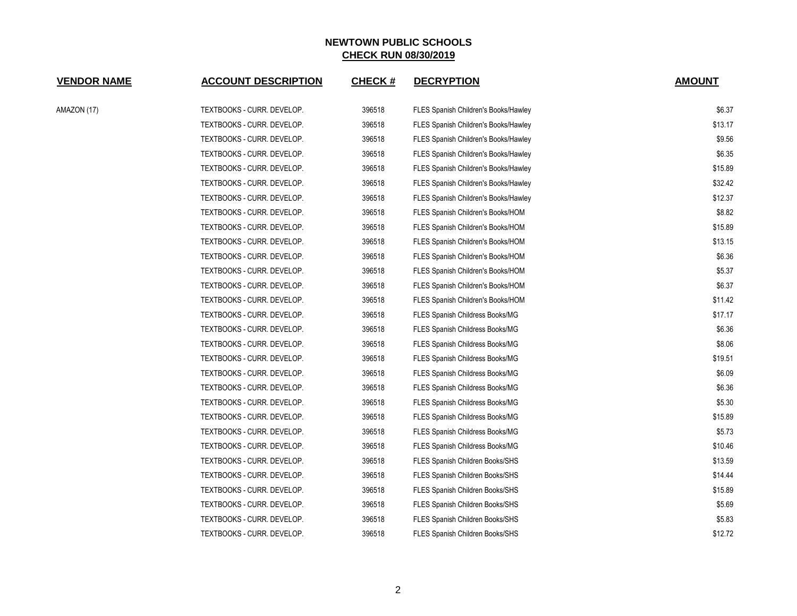| <b>VENDOR NAME</b> | <b>ACCOUNT DESCRIPTION</b> | <b>CHECK#</b> | <b>DECRYPTION</b>                      | <b>AMOUNT</b> |
|--------------------|----------------------------|---------------|----------------------------------------|---------------|
| AMAZON (17)        | TEXTBOOKS - CURR. DEVELOP. | 396518        | FLES Spanish Children's Books/Hawley   | \$6.37        |
|                    | TEXTBOOKS - CURR. DEVELOP. | 396518        | FLES Spanish Children's Books/Hawley   | \$13.17       |
|                    | TEXTBOOKS - CURR. DEVELOP. | 396518        | FLES Spanish Children's Books/Hawley   | \$9.56        |
|                    | TEXTBOOKS - CURR. DEVELOP. | 396518        | FLES Spanish Children's Books/Hawley   | \$6.35        |
|                    | TEXTBOOKS - CURR. DEVELOP. | 396518        | FLES Spanish Children's Books/Hawley   | \$15.89       |
|                    | TEXTBOOKS - CURR. DEVELOP. | 396518        | FLES Spanish Children's Books/Hawley   | \$32.42       |
|                    | TEXTBOOKS - CURR. DEVELOP. | 396518        | FLES Spanish Children's Books/Hawley   | \$12.37       |
|                    | TEXTBOOKS - CURR. DEVELOP. | 396518        | FLES Spanish Children's Books/HOM      | \$8.82        |
|                    | TEXTBOOKS - CURR. DEVELOP. | 396518        | FLES Spanish Children's Books/HOM      | \$15.89       |
|                    | TEXTBOOKS - CURR. DEVELOP. | 396518        | FLES Spanish Children's Books/HOM      | \$13.15       |
|                    | TEXTBOOKS - CURR. DEVELOP. | 396518        | FLES Spanish Children's Books/HOM      | \$6.36        |
|                    | TEXTBOOKS - CURR. DEVELOP. | 396518        | FLES Spanish Children's Books/HOM      | \$5.37        |
|                    | TEXTBOOKS - CURR. DEVELOP. | 396518        | FLES Spanish Children's Books/HOM      | \$6.37        |
|                    | TEXTBOOKS - CURR. DEVELOP. | 396518        | FLES Spanish Children's Books/HOM      | \$11.42       |
|                    | TEXTBOOKS - CURR. DEVELOP. | 396518        | FLES Spanish Childress Books/MG        | \$17.17       |
|                    | TEXTBOOKS - CURR. DEVELOP. | 396518        | FLES Spanish Childress Books/MG        | \$6.36        |
|                    | TEXTBOOKS - CURR. DEVELOP. | 396518        | FLES Spanish Childress Books/MG        | \$8.06        |
|                    | TEXTBOOKS - CURR. DEVELOP. | 396518        | FLES Spanish Childress Books/MG        | \$19.51       |
|                    | TEXTBOOKS - CURR. DEVELOP. | 396518        | FLES Spanish Childress Books/MG        | \$6.09        |
|                    | TEXTBOOKS - CURR. DEVELOP. | 396518        | <b>FLES Spanish Childress Books/MG</b> | \$6.36        |
|                    | TEXTBOOKS - CURR. DEVELOP. | 396518        | FLES Spanish Childress Books/MG        | \$5.30        |
|                    | TEXTBOOKS - CURR. DEVELOP. | 396518        | FLES Spanish Childress Books/MG        | \$15.89       |
|                    | TEXTBOOKS - CURR. DEVELOP. | 396518        | <b>FLES Spanish Childress Books/MG</b> | \$5.73        |
|                    | TEXTBOOKS - CURR. DEVELOP. | 396518        | <b>FLES Spanish Childress Books/MG</b> | \$10.46       |
|                    | TEXTBOOKS - CURR. DEVELOP. | 396518        | FLES Spanish Children Books/SHS        | \$13.59       |
|                    | TEXTBOOKS - CURR. DEVELOP. | 396518        | FLES Spanish Children Books/SHS        | \$14.44       |
|                    | TEXTBOOKS - CURR. DEVELOP. | 396518        | FLES Spanish Children Books/SHS        | \$15.89       |
|                    | TEXTBOOKS - CURR. DEVELOP. | 396518        | FLES Spanish Children Books/SHS        | \$5.69        |
|                    | TEXTBOOKS - CURR. DEVELOP. | 396518        | FLES Spanish Children Books/SHS        | \$5.83        |
|                    | TEXTBOOKS - CURR. DEVELOP. | 396518        | <b>FLES Spanish Children Books/SHS</b> | \$12.72       |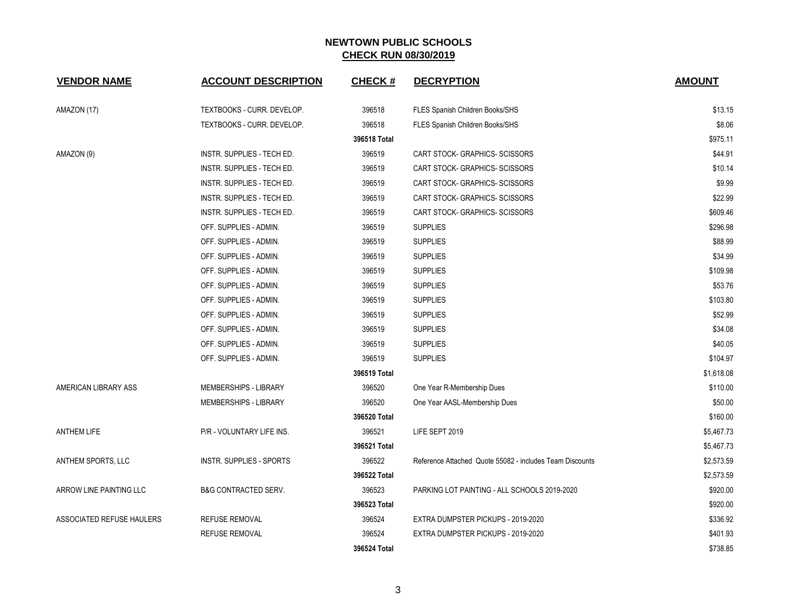| <b>VENDOR NAME</b>        | <b>ACCOUNT DESCRIPTION</b>      | <b>CHECK#</b> | <b>DECRYPTION</b>                                        | <b>AMOUNT</b> |
|---------------------------|---------------------------------|---------------|----------------------------------------------------------|---------------|
| AMAZON (17)               | TEXTBOOKS - CURR. DEVELOP.      | 396518        | FLES Spanish Children Books/SHS                          | \$13.15       |
|                           | TEXTBOOKS - CURR. DEVELOP.      | 396518        | FLES Spanish Children Books/SHS                          | \$8.06        |
|                           |                                 | 396518 Total  |                                                          | \$975.11      |
| AMAZON (9)                | INSTR. SUPPLIES - TECH ED.      | 396519        | CART STOCK- GRAPHICS- SCISSORS                           | \$44.91       |
|                           | INSTR. SUPPLIES - TECH ED.      | 396519        | CART STOCK- GRAPHICS- SCISSORS                           | \$10.14       |
|                           | INSTR. SUPPLIES - TECH ED.      | 396519        | CART STOCK- GRAPHICS- SCISSORS                           | \$9.99        |
|                           | INSTR. SUPPLIES - TECH ED.      | 396519        | CART STOCK- GRAPHICS- SCISSORS                           | \$22.99       |
|                           | INSTR. SUPPLIES - TECH ED.      | 396519        | CART STOCK- GRAPHICS- SCISSORS                           | \$609.46      |
|                           | OFF. SUPPLIES - ADMIN.          | 396519        | <b>SUPPLIES</b>                                          | \$296.98      |
|                           | OFF. SUPPLIES - ADMIN.          | 396519        | <b>SUPPLIES</b>                                          | \$88.99       |
|                           | OFF. SUPPLIES - ADMIN.          | 396519        | <b>SUPPLIES</b>                                          | \$34.99       |
|                           | OFF. SUPPLIES - ADMIN.          | 396519        | <b>SUPPLIES</b>                                          | \$109.98      |
|                           | OFF. SUPPLIES - ADMIN.          | 396519        | <b>SUPPLIES</b>                                          | \$53.76       |
|                           | OFF. SUPPLIES - ADMIN.          | 396519        | <b>SUPPLIES</b>                                          | \$103.80      |
|                           | OFF. SUPPLIES - ADMIN.          | 396519        | <b>SUPPLIES</b>                                          | \$52.99       |
|                           | OFF. SUPPLIES - ADMIN.          | 396519        | <b>SUPPLIES</b>                                          | \$34.08       |
|                           | OFF. SUPPLIES - ADMIN.          | 396519        | <b>SUPPLIES</b>                                          | \$40.05       |
|                           | OFF. SUPPLIES - ADMIN.          | 396519        | <b>SUPPLIES</b>                                          | \$104.97      |
|                           |                                 | 396519 Total  |                                                          | \$1,618.08    |
| AMERICAN LIBRARY ASS      | MEMBERSHIPS - LIBRARY           | 396520        | One Year R-Membership Dues                               | \$110.00      |
|                           | MEMBERSHIPS - LIBRARY           | 396520        | One Year AASL-Membership Dues                            | \$50.00       |
|                           |                                 | 396520 Total  |                                                          | \$160.00      |
| <b>ANTHEM LIFE</b>        | P/R - VOLUNTARY LIFE INS.       | 396521        | LIFE SEPT 2019                                           | \$5,467.73    |
|                           |                                 | 396521 Total  |                                                          | \$5,467.73    |
| ANTHEM SPORTS, LLC        | INSTR. SUPPLIES - SPORTS        | 396522        | Reference Attached Quote 55082 - includes Team Discounts | \$2,573.59    |
|                           |                                 | 396522 Total  |                                                          | \$2,573.59    |
| ARROW LINE PAINTING LLC   | <b>B&amp;G CONTRACTED SERV.</b> | 396523        | PARKING LOT PAINTING - ALL SCHOOLS 2019-2020             | \$920.00      |
|                           |                                 | 396523 Total  |                                                          | \$920.00      |
| ASSOCIATED REFUSE HAULERS | <b>REFUSE REMOVAL</b>           | 396524        | EXTRA DUMPSTER PICKUPS - 2019-2020                       | \$336.92      |
|                           | <b>REFUSE REMOVAL</b>           | 396524        | EXTRA DUMPSTER PICKUPS - 2019-2020                       | \$401.93      |
|                           |                                 | 396524 Total  |                                                          | \$738.85      |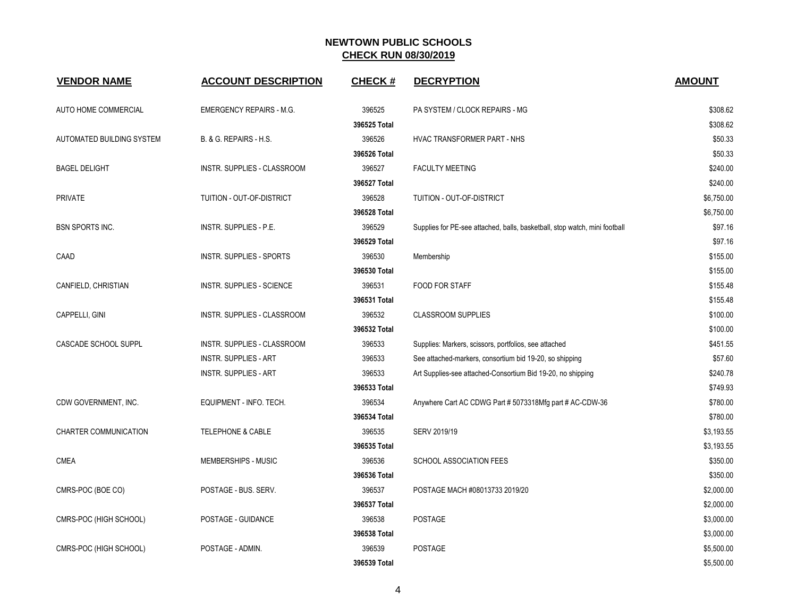| <b>VENDOR NAME</b>        | <b>ACCOUNT DESCRIPTION</b>      | <b>CHECK#</b> | <b>DECRYPTION</b>                                                          | <b>AMOUNT</b> |
|---------------------------|---------------------------------|---------------|----------------------------------------------------------------------------|---------------|
| AUTO HOME COMMERCIAL      | <b>EMERGENCY REPAIRS - M.G.</b> | 396525        | PA SYSTEM / CLOCK REPAIRS - MG                                             | \$308.62      |
|                           |                                 | 396525 Total  |                                                                            | \$308.62      |
| AUTOMATED BUILDING SYSTEM | B. & G. REPAIRS - H.S.          | 396526        | HVAC TRANSFORMER PART - NHS                                                | \$50.33       |
|                           |                                 | 396526 Total  |                                                                            | \$50.33       |
| <b>BAGEL DELIGHT</b>      | INSTR. SUPPLIES - CLASSROOM     | 396527        | <b>FACULTY MEETING</b>                                                     | \$240.00      |
|                           |                                 | 396527 Total  |                                                                            | \$240.00      |
| <b>PRIVATE</b>            | TUITION - OUT-OF-DISTRICT       | 396528        | TUITION - OUT-OF-DISTRICT                                                  | \$6,750.00    |
|                           |                                 | 396528 Total  |                                                                            | \$6,750.00    |
| <b>BSN SPORTS INC.</b>    | INSTR. SUPPLIES - P.E.          | 396529        | Supplies for PE-see attached, balls, basketball, stop watch, mini football | \$97.16       |
|                           |                                 | 396529 Total  |                                                                            | \$97.16       |
| CAAD                      | <b>INSTR. SUPPLIES - SPORTS</b> | 396530        | Membership                                                                 | \$155.00      |
|                           |                                 | 396530 Total  |                                                                            | \$155.00      |
| CANFIELD, CHRISTIAN       | INSTR. SUPPLIES - SCIENCE       | 396531        | FOOD FOR STAFF                                                             | \$155.48      |
|                           |                                 | 396531 Total  |                                                                            | \$155.48      |
| CAPPELLI, GINI            | INSTR. SUPPLIES - CLASSROOM     | 396532        | <b>CLASSROOM SUPPLIES</b>                                                  | \$100.00      |
|                           |                                 | 396532 Total  |                                                                            | \$100.00      |
| CASCADE SCHOOL SUPPL      | INSTR. SUPPLIES - CLASSROOM     | 396533        | Supplies: Markers, scissors, portfolios, see attached                      | \$451.55      |
|                           | <b>INSTR. SUPPLIES - ART</b>    | 396533        | See attached-markers, consortium bid 19-20, so shipping                    | \$57.60       |
|                           | <b>INSTR. SUPPLIES - ART</b>    | 396533        | Art Supplies-see attached-Consortium Bid 19-20, no shipping                | \$240.78      |
|                           |                                 | 396533 Total  |                                                                            | \$749.93      |
| CDW GOVERNMENT, INC.      | EQUIPMENT - INFO. TECH.         | 396534        | Anywhere Cart AC CDWG Part # 5073318Mfg part # AC-CDW-36                   | \$780.00      |
|                           |                                 | 396534 Total  |                                                                            | \$780.00      |
| CHARTER COMMUNICATION     | <b>TELEPHONE &amp; CABLE</b>    | 396535        | SERV 2019/19                                                               | \$3,193.55    |
|                           |                                 | 396535 Total  |                                                                            | \$3,193.55    |
| <b>CMEA</b>               | MEMBERSHIPS - MUSIC             | 396536        | <b>SCHOOL ASSOCIATION FEES</b>                                             | \$350.00      |
|                           |                                 | 396536 Total  |                                                                            | \$350.00      |
| CMRS-POC (BOE CO)         | POSTAGE - BUS. SERV.            | 396537        | POSTAGE MACH #08013733 2019/20                                             | \$2,000.00    |
|                           |                                 | 396537 Total  |                                                                            | \$2,000.00    |
| CMRS-POC (HIGH SCHOOL)    | POSTAGE - GUIDANCE              | 396538        | <b>POSTAGE</b>                                                             | \$3,000.00    |
|                           |                                 | 396538 Total  |                                                                            | \$3,000.00    |
| CMRS-POC (HIGH SCHOOL)    | POSTAGE - ADMIN.                | 396539        | POSTAGE                                                                    | \$5,500.00    |
|                           |                                 | 396539 Total  |                                                                            | \$5,500.00    |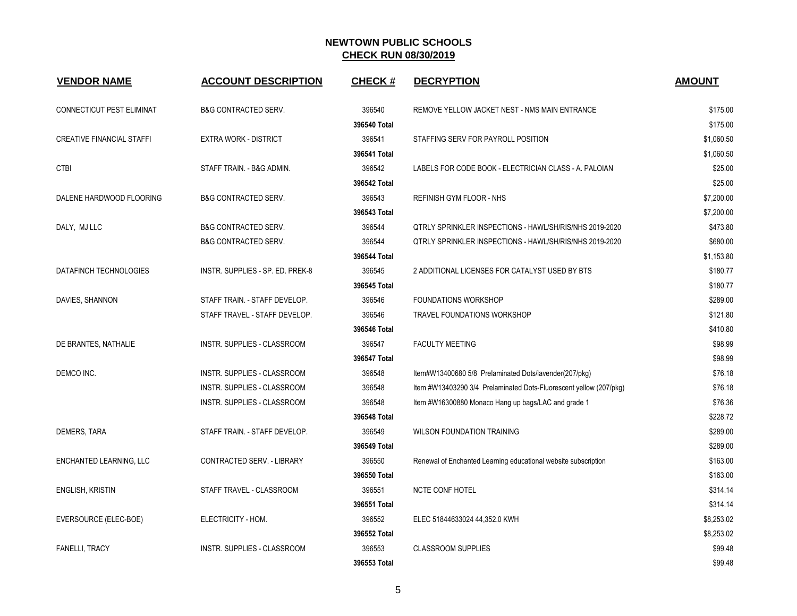| <b>VENDOR NAME</b>               | <b>ACCOUNT DESCRIPTION</b>         | <b>CHECK#</b> | <b>DECRYPTION</b>                                                  | <b>AMOUNT</b> |
|----------------------------------|------------------------------------|---------------|--------------------------------------------------------------------|---------------|
| CONNECTICUT PEST ELIMINAT        | <b>B&amp;G CONTRACTED SERV.</b>    | 396540        | REMOVE YELLOW JACKET NEST - NMS MAIN ENTRANCE                      | \$175.00      |
|                                  |                                    | 396540 Total  |                                                                    | \$175.00      |
| <b>CREATIVE FINANCIAL STAFFI</b> | <b>EXTRA WORK - DISTRICT</b>       | 396541        | STAFFING SERV FOR PAYROLL POSITION                                 | \$1,060.50    |
|                                  |                                    | 396541 Total  |                                                                    | \$1,060.50    |
| <b>CTBI</b>                      | STAFF TRAIN. - B&G ADMIN.          | 396542        | LABELS FOR CODE BOOK - ELECTRICIAN CLASS - A. PALOIAN              | \$25.00       |
|                                  |                                    | 396542 Total  |                                                                    | \$25.00       |
| DALENE HARDWOOD FLOORING         | <b>B&amp;G CONTRACTED SERV.</b>    | 396543        | REFINISH GYM FLOOR - NHS                                           | \$7,200.00    |
|                                  |                                    | 396543 Total  |                                                                    | \$7,200.00    |
| DALY, MJ LLC                     | <b>B&amp;G CONTRACTED SERV.</b>    | 396544        | <b>QTRLY SPRINKLER INSPECTIONS - HAWL/SH/RIS/NHS 2019-2020</b>     | \$473.80      |
|                                  | <b>B&amp;G CONTRACTED SERV.</b>    | 396544        | QTRLY SPRINKLER INSPECTIONS - HAWL/SH/RIS/NHS 2019-2020            | \$680.00      |
|                                  |                                    | 396544 Total  |                                                                    | \$1,153.80    |
| DATAFINCH TECHNOLOGIES           | INSTR. SUPPLIES - SP. ED. PREK-8   | 396545        | 2 ADDITIONAL LICENSES FOR CATALYST USED BY BTS                     | \$180.77      |
|                                  |                                    | 396545 Total  |                                                                    | \$180.77      |
| DAVIES, SHANNON                  | STAFF TRAIN. - STAFF DEVELOP.      | 396546        | FOUNDATIONS WORKSHOP                                               | \$289.00      |
|                                  | STAFF TRAVEL - STAFF DEVELOP.      | 396546        | <b>TRAVEL FOUNDATIONS WORKSHOP</b>                                 | \$121.80      |
|                                  |                                    | 396546 Total  |                                                                    | \$410.80      |
| DE BRANTES, NATHALIE             | INSTR. SUPPLIES - CLASSROOM        | 396547        | <b>FACULTY MEETING</b>                                             | \$98.99       |
|                                  |                                    | 396547 Total  |                                                                    | \$98.99       |
| DEMCO INC.                       | INSTR. SUPPLIES - CLASSROOM        | 396548        | Item#W13400680 5/8 Prelaminated Dots/lavender(207/pkg)             | \$76.18       |
|                                  | INSTR. SUPPLIES - CLASSROOM        | 396548        | Item #W13403290 3/4 Prelaminated Dots-Fluorescent yellow (207/pkg) | \$76.18       |
|                                  | INSTR. SUPPLIES - CLASSROOM        | 396548        | Item #W16300880 Monaco Hang up bags/LAC and grade 1                | \$76.36       |
|                                  |                                    | 396548 Total  |                                                                    | \$228.72      |
| <b>DEMERS, TARA</b>              | STAFF TRAIN. - STAFF DEVELOP.      | 396549        | <b>WILSON FOUNDATION TRAINING</b>                                  | \$289.00      |
|                                  |                                    | 396549 Total  |                                                                    | \$289.00      |
| ENCHANTED LEARNING, LLC          | CONTRACTED SERV. - LIBRARY         | 396550        | Renewal of Enchanted Learning educational website subscription     | \$163.00      |
|                                  |                                    | 396550 Total  |                                                                    | \$163.00      |
| ENGLISH, KRISTIN                 | STAFF TRAVEL - CLASSROOM           | 396551        | <b>NCTE CONF HOTEL</b>                                             | \$314.14      |
|                                  |                                    | 396551 Total  |                                                                    | \$314.14      |
| EVERSOURCE (ELEC-BOE)            | ELECTRICITY - HOM.                 | 396552        | ELEC 51844633024 44,352.0 KWH                                      | \$8,253.02    |
|                                  |                                    | 396552 Total  |                                                                    | \$8,253.02    |
| <b>FANELLI, TRACY</b>            | <b>INSTR. SUPPLIES - CLASSROOM</b> | 396553        | <b>CLASSROOM SUPPLIES</b>                                          | \$99.48       |
|                                  |                                    | 396553 Total  |                                                                    | \$99.48       |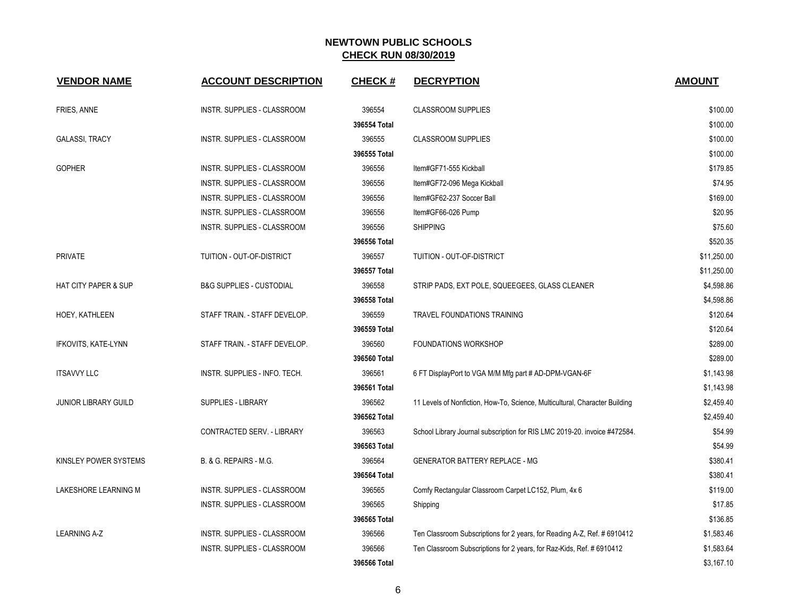| <b>VENDOR NAME</b>              | <b>ACCOUNT DESCRIPTION</b>          | <b>CHECK#</b> | <b>DECRYPTION</b>                                                           | <b>AMOUNT</b> |
|---------------------------------|-------------------------------------|---------------|-----------------------------------------------------------------------------|---------------|
| FRIES, ANNE                     | INSTR. SUPPLIES - CLASSROOM         | 396554        | <b>CLASSROOM SUPPLIES</b>                                                   | \$100.00      |
|                                 |                                     | 396554 Total  |                                                                             | \$100.00      |
| <b>GALASSI, TRACY</b>           | INSTR. SUPPLIES - CLASSROOM         | 396555        | <b>CLASSROOM SUPPLIES</b>                                                   | \$100.00      |
|                                 |                                     | 396555 Total  |                                                                             | \$100.00      |
| <b>GOPHER</b>                   | INSTR. SUPPLIES - CLASSROOM         | 396556        | Item#GF71-555 Kickball                                                      | \$179.85      |
|                                 | INSTR. SUPPLIES - CLASSROOM         | 396556        | Item#GF72-096 Mega Kickball                                                 | \$74.95       |
|                                 | INSTR. SUPPLIES - CLASSROOM         | 396556        | Item#GF62-237 Soccer Ball                                                   | \$169.00      |
|                                 | INSTR. SUPPLIES - CLASSROOM         | 396556        | Item#GF66-026 Pump                                                          | \$20.95       |
|                                 | INSTR. SUPPLIES - CLASSROOM         | 396556        | <b>SHIPPING</b>                                                             | \$75.60       |
|                                 |                                     | 396556 Total  |                                                                             | \$520.35      |
| <b>PRIVATE</b>                  | TUITION - OUT-OF-DISTRICT           | 396557        | TUITION - OUT-OF-DISTRICT                                                   | \$11,250.00   |
|                                 |                                     | 396557 Total  |                                                                             | \$11,250.00   |
| <b>HAT CITY PAPER &amp; SUP</b> | <b>B&amp;G SUPPLIES - CUSTODIAL</b> | 396558        | STRIP PADS, EXT POLE, SQUEEGEES, GLASS CLEANER                              | \$4,598.86    |
|                                 |                                     | 396558 Total  |                                                                             | \$4,598.86    |
| HOEY, KATHLEEN                  | STAFF TRAIN. - STAFF DEVELOP.       | 396559        | TRAVEL FOUNDATIONS TRAINING                                                 | \$120.64      |
|                                 |                                     | 396559 Total  |                                                                             | \$120.64      |
| IFKOVITS, KATE-LYNN             | STAFF TRAIN. - STAFF DEVELOP.       | 396560        | <b>FOUNDATIONS WORKSHOP</b>                                                 | \$289.00      |
|                                 |                                     | 396560 Total  |                                                                             | \$289.00      |
| <b>ITSAVVY LLC</b>              | INSTR. SUPPLIES - INFO. TECH.       | 396561        | 6 FT DisplayPort to VGA M/M Mfg part # AD-DPM-VGAN-6F                       | \$1,143.98    |
|                                 |                                     | 396561 Total  |                                                                             | \$1,143.98    |
| <b>JUNIOR LIBRARY GUILD</b>     | <b>SUPPLIES - LIBRARY</b>           | 396562        | 11 Levels of Nonfiction, How-To, Science, Multicultural, Character Building | \$2,459.40    |
|                                 |                                     | 396562 Total  |                                                                             | \$2,459.40    |
|                                 | CONTRACTED SERV. - LIBRARY          | 396563        | School Library Journal subscription for RIS LMC 2019-20. invoice #472584.   | \$54.99       |
|                                 |                                     | 396563 Total  |                                                                             | \$54.99       |
| KINSLEY POWER SYSTEMS           | B. & G. REPAIRS - M.G.              | 396564        | <b>GENERATOR BATTERY REPLACE - MG</b>                                       | \$380.41      |
|                                 |                                     | 396564 Total  |                                                                             | \$380.41      |
| LAKESHORE LEARNING M            | INSTR. SUPPLIES - CLASSROOM         | 396565        | Comfy Rectangular Classroom Carpet LC152, Plum, 4x 6                        | \$119.00      |
|                                 | INSTR. SUPPLIES - CLASSROOM         | 396565        | Shipping                                                                    | \$17.85       |
|                                 |                                     | 396565 Total  |                                                                             | \$136.85      |
| <b>LEARNING A-Z</b>             | INSTR. SUPPLIES - CLASSROOM         | 396566        | Ten Classroom Subscriptions for 2 years, for Reading A-Z, Ref. # 6910412    | \$1,583.46    |
|                                 | INSTR. SUPPLIES - CLASSROOM         | 396566        | Ten Classroom Subscriptions for 2 years, for Raz-Kids, Ref. # 6910412       | \$1,583.64    |
|                                 |                                     | 396566 Total  |                                                                             | \$3,167.10    |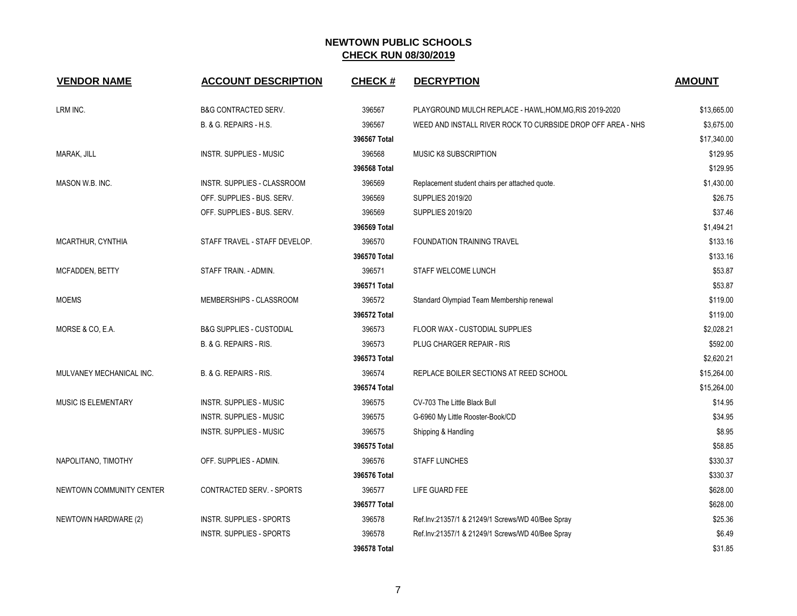| <b>VENDOR NAME</b>       | <b>ACCOUNT DESCRIPTION</b>          | <b>CHECK#</b> | <b>DECRYPTION</b>                                           | <b>AMOUNT</b> |
|--------------------------|-------------------------------------|---------------|-------------------------------------------------------------|---------------|
| LRM INC.                 | <b>B&amp;G CONTRACTED SERV.</b>     | 396567        | PLAYGROUND MULCH REPLACE - HAWL, HOM, MG, RIS 2019-2020     | \$13,665.00   |
|                          | B. & G. REPAIRS - H.S.              | 396567        | WEED AND INSTALL RIVER ROCK TO CURBSIDE DROP OFF AREA - NHS | \$3,675.00    |
|                          |                                     | 396567 Total  |                                                             | \$17,340.00   |
| MARAK, JILL              | INSTR. SUPPLIES - MUSIC             | 396568        | <b>MUSIC K8 SUBSCRIPTION</b>                                | \$129.95      |
|                          |                                     | 396568 Total  |                                                             | \$129.95      |
| MASON W.B. INC.          | INSTR. SUPPLIES - CLASSROOM         | 396569        | Replacement student chairs per attached quote.              | \$1,430.00    |
|                          | OFF. SUPPLIES - BUS. SERV.          | 396569        | <b>SUPPLIES 2019/20</b>                                     | \$26.75       |
|                          | OFF. SUPPLIES - BUS. SERV.          | 396569        | <b>SUPPLIES 2019/20</b>                                     | \$37.46       |
|                          |                                     | 396569 Total  |                                                             | \$1,494.21    |
| MCARTHUR, CYNTHIA        | STAFF TRAVEL - STAFF DEVELOP.       | 396570        | <b>FOUNDATION TRAINING TRAVEL</b>                           | \$133.16      |
|                          |                                     | 396570 Total  |                                                             | \$133.16      |
| MCFADDEN, BETTY          | STAFF TRAIN. - ADMIN.               | 396571        | STAFF WELCOME LUNCH                                         | \$53.87       |
|                          |                                     | 396571 Total  |                                                             | \$53.87       |
| <b>MOEMS</b>             | MEMBERSHIPS - CLASSROOM             | 396572        | Standard Olympiad Team Membership renewal                   | \$119.00      |
|                          |                                     | 396572 Total  |                                                             | \$119.00      |
| MORSE & CO, E.A.         | <b>B&amp;G SUPPLIES - CUSTODIAL</b> | 396573        | FLOOR WAX - CUSTODIAL SUPPLIES                              | \$2,028.21    |
|                          | B. & G. REPAIRS - RIS.              | 396573        | PLUG CHARGER REPAIR - RIS                                   | \$592.00      |
|                          |                                     | 396573 Total  |                                                             | \$2,620.21    |
| MULVANEY MECHANICAL INC. | B. & G. REPAIRS - RIS.              | 396574        | REPLACE BOILER SECTIONS AT REED SCHOOL                      | \$15,264.00   |
|                          |                                     | 396574 Total  |                                                             | \$15,264.00   |
| MUSIC IS ELEMENTARY      | INSTR. SUPPLIES - MUSIC             | 396575        | CV-703 The Little Black Bull                                | \$14.95       |
|                          | INSTR. SUPPLIES - MUSIC             | 396575        | G-6960 My Little Rooster-Book/CD                            | \$34.95       |
|                          | INSTR. SUPPLIES - MUSIC             | 396575        | Shipping & Handling                                         | \$8.95        |
|                          |                                     | 396575 Total  |                                                             | \$58.85       |
| NAPOLITANO, TIMOTHY      | OFF. SUPPLIES - ADMIN.              | 396576        | <b>STAFF LUNCHES</b>                                        | \$330.37      |
|                          |                                     | 396576 Total  |                                                             | \$330.37      |
| NEWTOWN COMMUNITY CENTER | CONTRACTED SERV. - SPORTS           | 396577        | LIFE GUARD FEE                                              | \$628.00      |
|                          |                                     | 396577 Total  |                                                             | \$628.00      |
| NEWTOWN HARDWARE (2)     | INSTR. SUPPLIES - SPORTS            | 396578        | Ref.lnv:21357/1 & 21249/1 Screws/WD 40/Bee Spray            | \$25.36       |
|                          | INSTR. SUPPLIES - SPORTS            | 396578        | Ref.lnv:21357/1 & 21249/1 Screws/WD 40/Bee Spray            | \$6.49        |
|                          |                                     | 396578 Total  |                                                             | \$31.85       |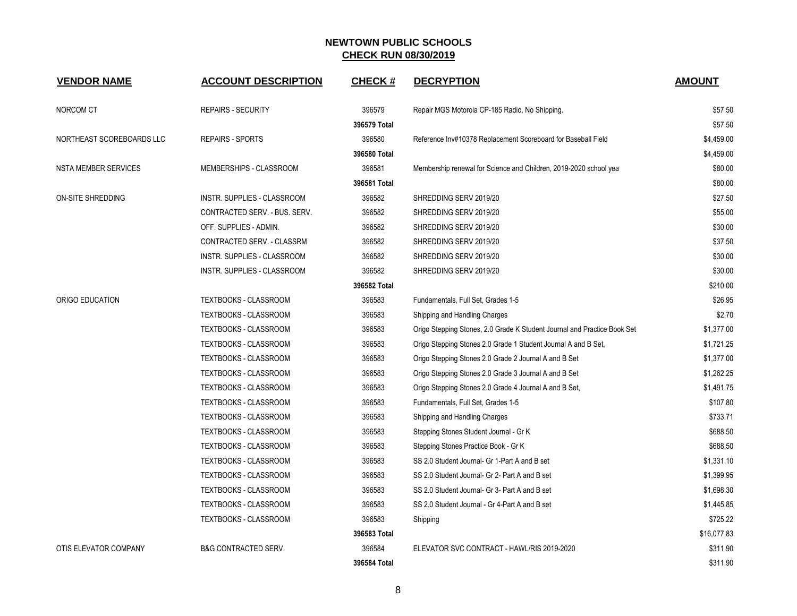| <b>VENDOR NAME</b>          | <b>ACCOUNT DESCRIPTION</b>      | <b>CHECK#</b> | <b>DECRYPTION</b>                                                        | <b>AMOUNT</b> |
|-----------------------------|---------------------------------|---------------|--------------------------------------------------------------------------|---------------|
| NORCOM CT                   | <b>REPAIRS - SECURITY</b>       | 396579        | Repair MGS Motorola CP-185 Radio, No Shipping.                           | \$57.50       |
|                             |                                 | 396579 Total  |                                                                          | \$57.50       |
| NORTHEAST SCOREBOARDS LLC   | <b>REPAIRS - SPORTS</b>         | 396580        | Reference Inv#10378 Replacement Scoreboard for Baseball Field            | \$4,459.00    |
|                             |                                 | 396580 Total  |                                                                          | \$4,459.00    |
| <b>NSTA MEMBER SERVICES</b> | MEMBERSHIPS - CLASSROOM         | 396581        | Membership renewal for Science and Children, 2019-2020 school yea        | \$80.00       |
|                             |                                 | 396581 Total  |                                                                          | \$80.00       |
| ON-SITE SHREDDING           | INSTR. SUPPLIES - CLASSROOM     | 396582        | SHREDDING SERV 2019/20                                                   | \$27.50       |
|                             | CONTRACTED SERV. - BUS. SERV.   | 396582        | SHREDDING SERV 2019/20                                                   | \$55.00       |
|                             | OFF. SUPPLIES - ADMIN.          | 396582        | SHREDDING SERV 2019/20                                                   | \$30.00       |
|                             | CONTRACTED SERV. - CLASSRM      | 396582        | SHREDDING SERV 2019/20                                                   | \$37.50       |
|                             | INSTR. SUPPLIES - CLASSROOM     | 396582        | SHREDDING SERV 2019/20                                                   | \$30.00       |
|                             | INSTR. SUPPLIES - CLASSROOM     | 396582        | SHREDDING SERV 2019/20                                                   | \$30.00       |
|                             |                                 | 396582 Total  |                                                                          | \$210.00      |
| ORIGO EDUCATION             | TEXTBOOKS - CLASSROOM           | 396583        | Fundamentals, Full Set, Grades 1-5                                       | \$26.95       |
|                             | TEXTBOOKS - CLASSROOM           | 396583        | Shipping and Handling Charges                                            | \$2.70        |
|                             | TEXTBOOKS - CLASSROOM           | 396583        | Origo Stepping Stones, 2.0 Grade K Student Journal and Practice Book Set | \$1,377.00    |
|                             | TEXTBOOKS - CLASSROOM           | 396583        | Origo Stepping Stones 2.0 Grade 1 Student Journal A and B Set,           | \$1,721.25    |
|                             | TEXTBOOKS - CLASSROOM           | 396583        | Origo Stepping Stones 2.0 Grade 2 Journal A and B Set                    | \$1,377.00    |
|                             | TEXTBOOKS - CLASSROOM           | 396583        | Origo Stepping Stones 2.0 Grade 3 Journal A and B Set                    | \$1,262.25    |
|                             | TEXTBOOKS - CLASSROOM           | 396583        | Origo Stepping Stones 2.0 Grade 4 Journal A and B Set,                   | \$1,491.75    |
|                             | TEXTBOOKS - CLASSROOM           | 396583        | Fundamentals, Full Set, Grades 1-5                                       | \$107.80      |
|                             | TEXTBOOKS - CLASSROOM           | 396583        | Shipping and Handling Charges                                            | \$733.71      |
|                             | TEXTBOOKS - CLASSROOM           | 396583        | Stepping Stones Student Journal - Gr K                                   | \$688.50      |
|                             | TEXTBOOKS - CLASSROOM           | 396583        | Stepping Stones Practice Book - Gr K                                     | \$688.50      |
|                             | TEXTBOOKS - CLASSROOM           | 396583        | SS 2.0 Student Journal- Gr 1-Part A and B set                            | \$1,331.10    |
|                             | TEXTBOOKS - CLASSROOM           | 396583        | SS 2.0 Student Journal- Gr 2- Part A and B set                           | \$1,399.95    |
|                             | TEXTBOOKS - CLASSROOM           | 396583        | SS 2.0 Student Journal- Gr 3- Part A and B set                           | \$1,698.30    |
|                             | TEXTBOOKS - CLASSROOM           | 396583        | SS 2.0 Student Journal - Gr 4-Part A and B set                           | \$1,445.85    |
|                             | TEXTBOOKS - CLASSROOM           | 396583        | Shipping                                                                 | \$725.22      |
|                             |                                 | 396583 Total  |                                                                          | \$16,077.83   |
| OTIS ELEVATOR COMPANY       | <b>B&amp;G CONTRACTED SERV.</b> | 396584        | ELEVATOR SVC CONTRACT - HAWL/RIS 2019-2020                               | \$311.90      |
|                             |                                 | 396584 Total  |                                                                          | \$311.90      |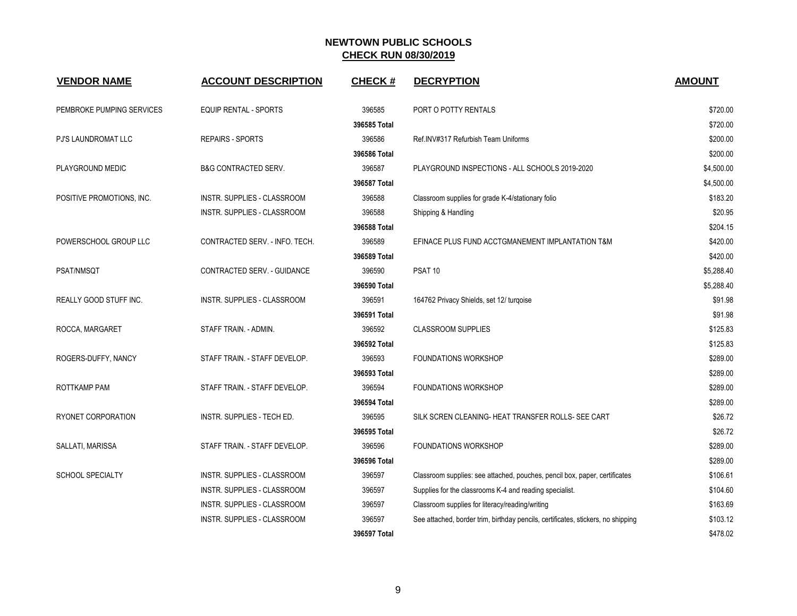| <b>VENDOR NAME</b>            | <b>ACCOUNT DESCRIPTION</b>         | <b>CHECK#</b> | <b>DECRYPTION</b>                                                                | <b>AMOUNT</b> |
|-------------------------------|------------------------------------|---------------|----------------------------------------------------------------------------------|---------------|
| PEMBROKE PUMPING SERVICES     | <b>EQUIP RENTAL - SPORTS</b>       | 396585        | PORT O POTTY RENTALS                                                             | \$720.00      |
|                               |                                    | 396585 Total  |                                                                                  | \$720.00      |
| <b>PJ'S LAUNDROMAT LLC</b>    | <b>REPAIRS - SPORTS</b>            | 396586        | Ref.INV#317 Refurbish Team Uniforms                                              | \$200.00      |
|                               |                                    | 396586 Total  |                                                                                  | \$200.00      |
| PLAYGROUND MEDIC              | <b>B&amp;G CONTRACTED SERV.</b>    | 396587        | PLAYGROUND INSPECTIONS - ALL SCHOOLS 2019-2020                                   | \$4,500.00    |
|                               |                                    | 396587 Total  |                                                                                  | \$4,500.00    |
| POSITIVE PROMOTIONS, INC.     | INSTR. SUPPLIES - CLASSROOM        | 396588        | Classroom supplies for grade K-4/stationary folio                                | \$183.20      |
|                               | <b>INSTR. SUPPLIES - CLASSROOM</b> | 396588        | Shipping & Handling                                                              | \$20.95       |
|                               |                                    | 396588 Total  |                                                                                  | \$204.15      |
| POWERSCHOOL GROUP LLC         | CONTRACTED SERV. - INFO. TECH.     | 396589        | EFINACE PLUS FUND ACCTGMANEMENT IMPLANTATION T&M                                 | \$420.00      |
|                               |                                    | 396589 Total  |                                                                                  | \$420.00      |
| <b>PSAT/NMSQT</b>             | CONTRACTED SERV. - GUIDANCE        | 396590        | PSAT <sub>10</sub>                                                               | \$5,288.40    |
|                               |                                    | 396590 Total  |                                                                                  | \$5,288.40    |
| <b>REALLY GOOD STUFF INC.</b> | INSTR. SUPPLIES - CLASSROOM        | 396591        | 164762 Privacy Shields, set 12/ turgoise                                         | \$91.98       |
|                               |                                    | 396591 Total  |                                                                                  | \$91.98       |
| ROCCA, MARGARET               | STAFF TRAIN. - ADMIN.              | 396592        | <b>CLASSROOM SUPPLIES</b>                                                        | \$125.83      |
|                               |                                    | 396592 Total  |                                                                                  | \$125.83      |
| ROGERS-DUFFY, NANCY           | STAFF TRAIN. - STAFF DEVELOP.      | 396593        | <b>FOUNDATIONS WORKSHOP</b>                                                      | \$289.00      |
|                               |                                    | 396593 Total  |                                                                                  | \$289.00      |
| ROTTKAMP PAM                  | STAFF TRAIN. - STAFF DEVELOP.      | 396594        | <b>FOUNDATIONS WORKSHOP</b>                                                      | \$289.00      |
|                               |                                    | 396594 Total  |                                                                                  | \$289.00      |
| RYONET CORPORATION            | INSTR. SUPPLIES - TECH ED.         | 396595        | SILK SCREN CLEANING- HEAT TRANSFER ROLLS- SEE CART                               | \$26.72       |
|                               |                                    | 396595 Total  |                                                                                  | \$26.72       |
| SALLATI, MARISSA              | STAFF TRAIN. - STAFF DEVELOP.      | 396596        | <b>FOUNDATIONS WORKSHOP</b>                                                      | \$289.00      |
|                               |                                    | 396596 Total  |                                                                                  | \$289.00      |
| <b>SCHOOL SPECIALTY</b>       | <b>INSTR. SUPPLIES - CLASSROOM</b> | 396597        | Classroom supplies: see attached, pouches, pencil box, paper, certificates       | \$106.61      |
|                               | INSTR. SUPPLIES - CLASSROOM        | 396597        | Supplies for the classrooms K-4 and reading specialist.                          | \$104.60      |
|                               | INSTR. SUPPLIES - CLASSROOM        | 396597        | Classroom supplies for literacy/reading/writing                                  | \$163.69      |
|                               | <b>INSTR. SUPPLIES - CLASSROOM</b> | 396597        | See attached, border trim, birthday pencils, certificates, stickers, no shipping | \$103.12      |
|                               |                                    | 396597 Total  |                                                                                  | \$478.02      |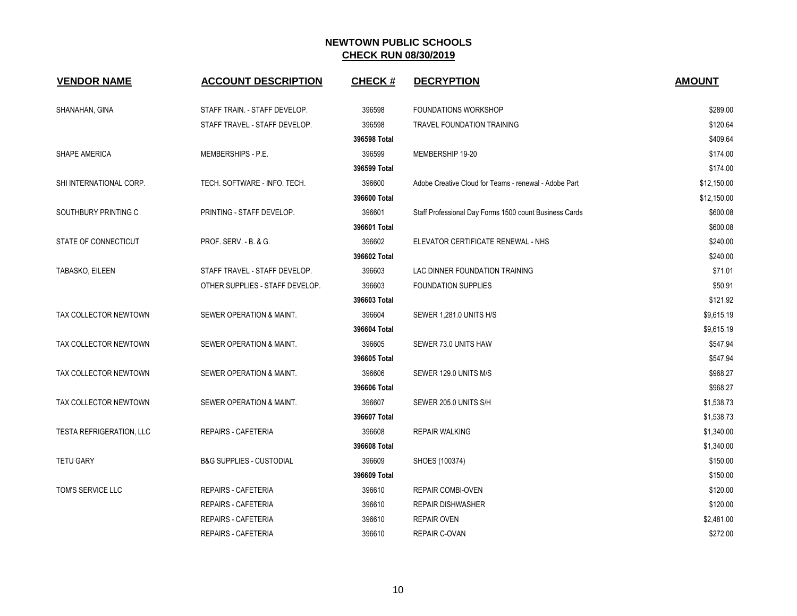| <b>VENDOR NAME</b>       | <b>ACCOUNT DESCRIPTION</b>          | <b>CHECK#</b> | <b>DECRYPTION</b>                                      | <b>AMOUNT</b> |
|--------------------------|-------------------------------------|---------------|--------------------------------------------------------|---------------|
| SHANAHAN, GINA           | STAFF TRAIN. - STAFF DEVELOP.       | 396598        | FOUNDATIONS WORKSHOP                                   | \$289.00      |
|                          | STAFF TRAVEL - STAFF DEVELOP.       | 396598        | TRAVEL FOUNDATION TRAINING                             | \$120.64      |
|                          |                                     | 396598 Total  |                                                        | \$409.64      |
| SHAPE AMERICA            | MEMBERSHIPS - P.E.                  | 396599        | MEMBERSHIP 19-20                                       | \$174.00      |
|                          |                                     | 396599 Total  |                                                        | \$174.00      |
| SHI INTERNATIONAL CORP.  | TECH. SOFTWARE - INFO. TECH.        | 396600        | Adobe Creative Cloud for Teams - renewal - Adobe Part  | \$12,150.00   |
|                          |                                     | 396600 Total  |                                                        | \$12,150.00   |
| SOUTHBURY PRINTING C     | PRINTING - STAFF DEVELOP.           | 396601        | Staff Professional Day Forms 1500 count Business Cards | \$600.08      |
|                          |                                     | 396601 Total  |                                                        | \$600.08      |
| STATE OF CONNECTICUT     | PROF. SERV. - B. & G.               | 396602        | ELEVATOR CERTIFICATE RENEWAL - NHS                     | \$240.00      |
|                          |                                     | 396602 Total  |                                                        | \$240.00      |
| TABASKO, EILEEN          | STAFF TRAVEL - STAFF DEVELOP.       | 396603        | LAC DINNER FOUNDATION TRAINING                         | \$71.01       |
|                          | OTHER SUPPLIES - STAFF DEVELOP.     | 396603        | <b>FOUNDATION SUPPLIES</b>                             | \$50.91       |
|                          |                                     | 396603 Total  |                                                        | \$121.92      |
| TAX COLLECTOR NEWTOWN    | SEWER OPERATION & MAINT.            | 396604        | SEWER 1,281.0 UNITS H/S                                | \$9,615.19    |
|                          |                                     | 396604 Total  |                                                        | \$9,615.19    |
| TAX COLLECTOR NEWTOWN    | SEWER OPERATION & MAINT.            | 396605        | SEWER 73.0 UNITS HAW                                   | \$547.94      |
|                          |                                     | 396605 Total  |                                                        | \$547.94      |
| TAX COLLECTOR NEWTOWN    | SEWER OPERATION & MAINT.            | 396606        | SEWER 129.0 UNITS M/S                                  | \$968.27      |
|                          |                                     | 396606 Total  |                                                        | \$968.27      |
| TAX COLLECTOR NEWTOWN    | SEWER OPERATION & MAINT.            | 396607        | SEWER 205.0 UNITS S/H                                  | \$1,538.73    |
|                          |                                     | 396607 Total  |                                                        | \$1,538.73    |
| TESTA REFRIGERATION, LLC | <b>REPAIRS - CAFETERIA</b>          | 396608        | <b>REPAIR WALKING</b>                                  | \$1,340.00    |
|                          |                                     | 396608 Total  |                                                        | \$1,340.00    |
| <b>TETU GARY</b>         | <b>B&amp;G SUPPLIES - CUSTODIAL</b> | 396609        | SHOES (100374)                                         | \$150.00      |
|                          |                                     | 396609 Total  |                                                        | \$150.00      |
| TOM'S SERVICE LLC        | <b>REPAIRS - CAFETERIA</b>          | 396610        | <b>REPAIR COMBI-OVEN</b>                               | \$120.00      |
|                          | <b>REPAIRS - CAFETERIA</b>          | 396610        | <b>REPAIR DISHWASHER</b>                               | \$120.00      |
|                          | REPAIRS - CAFETERIA                 | 396610        | <b>REPAIR OVEN</b>                                     | \$2,481.00    |
|                          | <b>REPAIRS - CAFETERIA</b>          | 396610        | REPAIR C-OVAN                                          | \$272.00      |